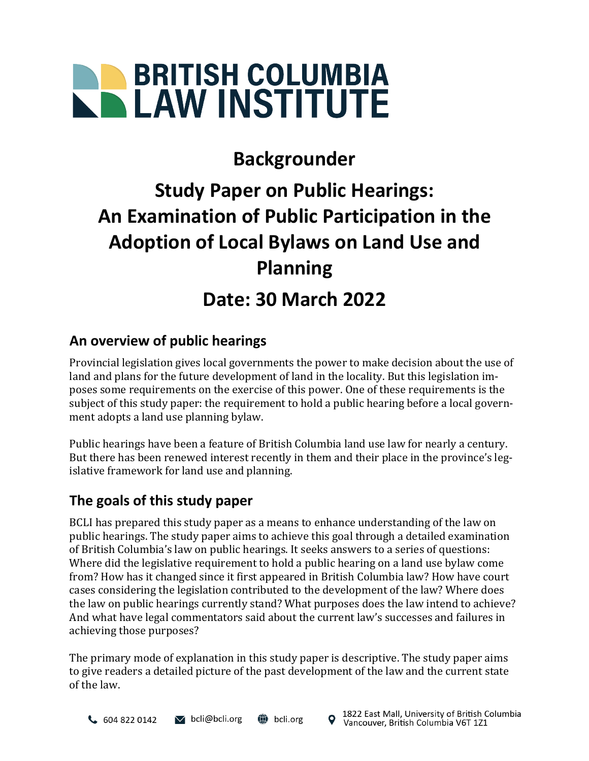# **BRITISH COLUMBIA**

## **Backgrounder**

# **Study Paper on Public Hearings: An Examination of Public Participation in the Adoption of Local Bylaws on Land Use and Planning**

### **Date: 30 March 2022**

#### **An overview of public hearings**

Provincial legislation gives local governments the power to make decision about the use of land and plans for the future development of land in the locality. But this legislation imposes some requirements on the exercise of this power. One of these requirements is the subject of this study paper: the requirement to hold a public hearing before a local government adopts a land use planning bylaw.

Public hearings have been a feature of British Columbia land use law for nearly a century. But there has been renewed interest recently in them and their place in the province's legislative framework for land use and planning.

#### **The goals of this study paper**

BCLI has prepared this study paper as a means to enhance understanding of the law on public hearings. The study paper aims to achieve this goal through a detailed examination of British Columbia's law on public hearings. It seeks answers to a series of questions: Where did the legislative requirement to hold a public hearing on a land use bylaw come from? How has it changed since it first appeared in British Columbia law? How have court cases considering the legislation contributed to the development of the law? Where does the law on public hearings currently stand? What purposes does the law intend to achieve? And what have legal commentators said about the current law's successes and failures in achieving those purposes?

The primary mode of explanation in this study paper is descriptive. The study paper aims to give readers a detailed picture of the past development of the law and the current state of the law.

 $\vee$  bcli@bcli.org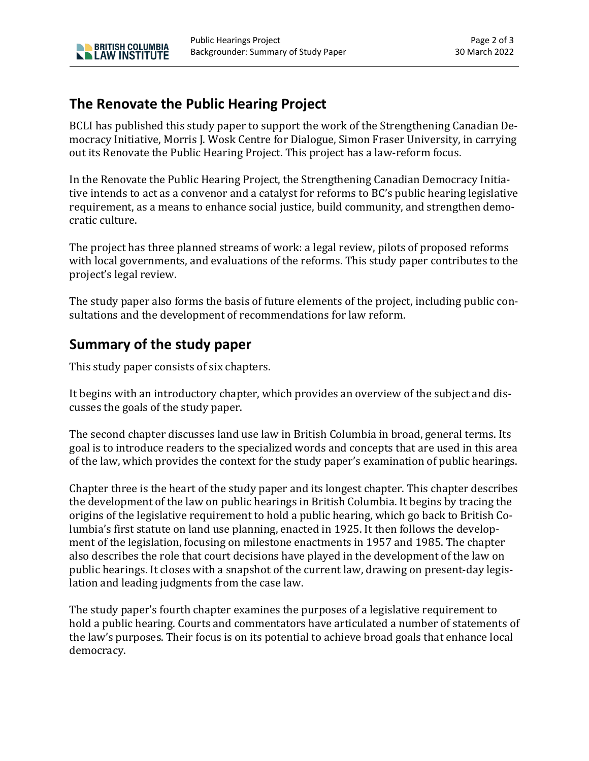#### **The Renovate the Public Hearing Project**

**NO BRITISH COLUMBIA** 

BCLI has published this study paper to support the work of the Strengthening Canadian Democracy Initiative, Morris J. Wosk Centre for Dialogue, Simon Fraser University, in carrying out its Renovate the Public Hearing Project. This project has a law-reform focus.

In the Renovate the Public Hearing Project, the Strengthening Canadian Democracy Initiative intends to act as a convenor and a catalyst for reforms to BC's public hearing legislative requirement, as a means to enhance social justice, build community, and strengthen democratic culture.

The project has three planned streams of work: a legal review, pilots of proposed reforms with local governments, and evaluations of the reforms. This study paper contributes to the project's legal review.

The study paper also forms the basis of future elements of the project, including public consultations and the development of recommendations for law reform.

#### **Summary of the study paper**

This study paper consists of six chapters.

It begins with an introductory chapter, which provides an overview of the subject and discusses the goals of the study paper.

The second chapter discusses land use law in British Columbia in broad, general terms. Its goal is to introduce readers to the specialized words and concepts that are used in this area of the law, which provides the context for the study paper's examination of public hearings.

Chapter three is the heart of the study paper and its longest chapter. This chapter describes the development of the law on public hearings in British Columbia. It begins by tracing the origins of the legislative requirement to hold a public hearing, which go back to British Columbia's first statute on land use planning, enacted in 1925. It then follows the development of the legislation, focusing on milestone enactments in 1957 and 1985. The chapter also describes the role that court decisions have played in the development of the law on public hearings. It closes with a snapshot of the current law, drawing on present-day legislation and leading judgments from the case law.

The study paper's fourth chapter examines the purposes of a legislative requirement to hold a public hearing. Courts and commentators have articulated a number of statements of the law's purposes. Their focus is on its potential to achieve broad goals that enhance local democracy.